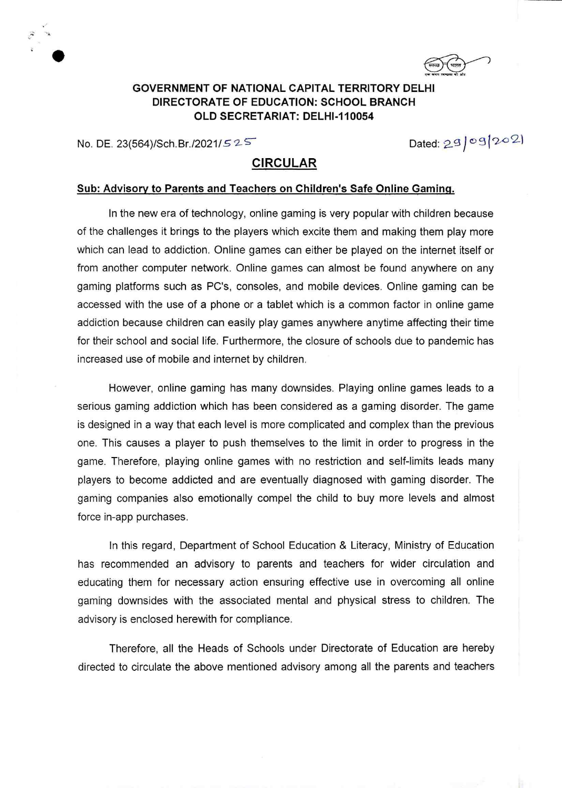



# **GOVERNMENT OF NATIONAL CAPITAL TERRITORY DELHI DIRECTORATE OF EDUCATION: SCHOOL BRANCH OLD SECRETARIAT: DELHI-110054**

No. DE. 23(564)/Sch.Br./2021/525 Dated: 29 | 09 | 2021

## **CIRCULAR**

### **Sub: Advisory to Parents and Teachers on Children's Safe Online Gaming.**

In the new era of technology, online gaming is very popular with children because of the challenges it brings to the players which excite them and making them play more which can lead to addiction. Online games can either be played on the internet itself or from another computer network. Online games can almost be found anywhere on any gaming platforms such as PC's, consoles, and mobile devices. Online gaming can be accessed with the use of a phone or a tablet which is a common factor in online game addiction because children can easily play games anywhere anytime affecting their time for their school and social life. Furthermore, the closure of schools due to pandemic has increased use of mobile and internet by children.

However, online gaming has many downsides. Playing online games leads to a serious gaming addiction which has been considered as a gaming disorder. The game is designed in a way that each level is more complicated and complex than the previous one. This causes a player to push themselves to the limit in order to progress in the game. Therefore, playing online games with no restriction and self-limits leads many players to become addicted and are eventually diagnosed with gaming disorder. The gaming companies also emotionally compel the child to buy more levels and almost force in-app purchases.

In this regard, Department of School Education & Literacy, Ministry of Education has recommended an advisory to parents and teachers for wider circulation and educating them for necessary action ensuring effective use in overcoming all online gaming downsides with the associated mental and physical stress to children. The advisory is enclosed herewith for compliance.

Therefore, all the Heads of Schools under Directorate of Education are hereby directed to circulate the above mentioned advisory among all the parents and teachers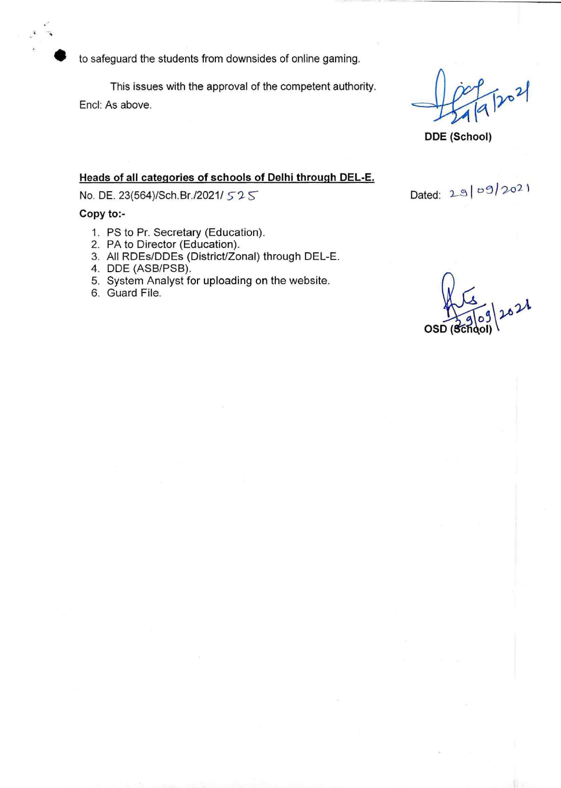to safeguard the students from downsides of online gaming.

This issues with the approval of the competent authority. Encl: As above.

**DDE (School)** 

# **Heads of all categories of schools of Delhi through DEL-E.**

No. DE. 23(564)/Sch.Br./2021/ 52 **S-**

Dated: 29 09/2021

## **Copy to:-**

- 1. PS to Pr. Secretary (Education).
- 2. PA to Director (Education).
- 3. All RDEs/DDEs (District/Zonal) through DEL-E.
- 4. DDE (ASB/PSB).
- 5. System Analyst for uploading on the website.
- 6. Guard File.

OS